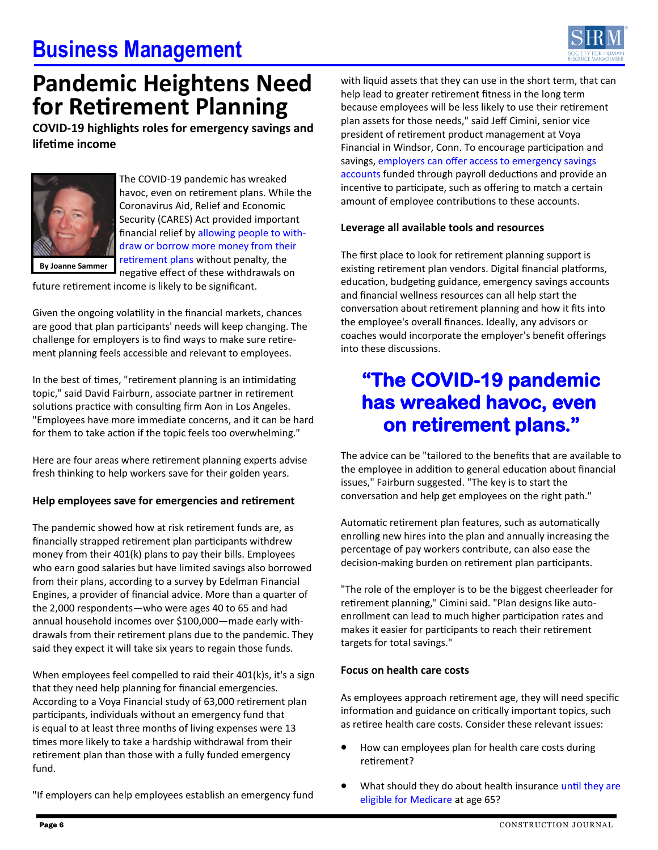# **Business Management**



## **Pandemic Heightens Need for Retirement Planning**

**COVID-19 highlights roles for emergency savings and lifetime income** 



The COVID-19 pandemic has wreaked havoc, even on retirement plans. While the Coronavirus Aid, Relief and Economic Security (CARES) Act provided important financial relief by [allowing people to with](https://www.shrm.org/ResourcesAndTools/hr-topics/benefits/pages/how-the-cares-act-changes-health-retirement-and-student-loan-benefits.aspx)[draw or borrow more money from their](https://www.shrm.org/ResourcesAndTools/hr-topics/benefits/pages/how-the-cares-act-changes-health-retirement-and-student-loan-benefits.aspx)  [retirement plans](https://www.shrm.org/ResourcesAndTools/hr-topics/benefits/pages/how-the-cares-act-changes-health-retirement-and-student-loan-benefits.aspx) without penalty, the negative effect of these withdrawals on

**By Joanne Sammer** 

future retirement income is likely to be significant.

Given the ongoing volatility in the financial markets, chances are good that plan participants' needs will keep changing. The challenge for employers is to find ways to make sure retirement planning feels accessible and relevant to employees.

In the best of times, "retirement planning is an intimidating topic," said David Fairburn, associate partner in retirement solutions practice with consulting firm Aon in Los Angeles. "Employees have more immediate concerns, and it can be hard for them to take action if the topic feels too overwhelming."

Here are four areas where retirement planning experts advise fresh thinking to help workers save for their golden years.

## **Help employees save for emergencies and retirement**

The pandemic showed how at risk retirement funds are, as financially strapped retirement plan participants withdrew money from their 401(k) plans to pay their bills. Employees who earn good salaries but have limited savings also borrowed from their plans, according to a survey by Edelman Financial Engines, a provider of financial advice. More than a quarter of the 2,000 respondents—who were ages 40 to 65 and had annual household incomes over \$100,000—made early withdrawals from their retirement plans due to the pandemic. They said they expect it will take six years to regain those funds.

When employees feel compelled to raid their 401(k)s, it's a sign that they need help planning for financial emergencies. According to a Voya Financial study of 63,000 retirement plan participants, individuals without an emergency fund that is equal to at least three months of living expenses were 13 times more likely to take a hardship withdrawal from their retirement plan than those with a fully funded emergency fund.

with liquid assets that they can use in the short term, that can help lead to greater retirement fitness in the long term because employees will be less likely to use their retirement plan assets for those needs," said Jeff Cimini, senior vice president of retirement product management at Voya Financial in Windsor, Conn. To encourage participation and savings, [employers can offer access to emergency savings](https://www.shrm.org/ResourcesAndTools/hr-topics/benefits/pages/emergency-savings-accounts-funded-by-payroll-deductions-boost-financial-wellness.aspx)  [accounts](https://www.shrm.org/ResourcesAndTools/hr-topics/benefits/pages/emergency-savings-accounts-funded-by-payroll-deductions-boost-financial-wellness.aspx) funded through payroll deductions and provide an incentive to participate, such as offering to match a certain amount of employee contributions to these accounts.

### **Leverage all available tools and resources**

The first place to look for retirement planning support is existing retirement plan vendors. Digital financial platforms, education, budgeting guidance, emergency savings accounts and financial wellness resources can all help start the conversation about retirement planning and how it fits into the employee's overall finances. Ideally, any advisors or coaches would incorporate the employer's benefit offerings into these discussions.

## **"The COVID-19 pandemic has wreaked havoc, even on retirement plans."**

The advice can be "tailored to the benefits that are available to the employee in addition to general education about financial issues," Fairburn suggested. "The key is to start the conversation and help get employees on the right path."

Automatic retirement plan features, such as automatically enrolling new hires into the plan and annually increasing the percentage of pay workers contribute, can also ease the decision-making burden on retirement plan participants.

"The role of the employer is to be the biggest cheerleader for retirement planning," Cimini said. "Plan designs like autoenrollment can lead to much higher participation rates and makes it easier for participants to reach their retirement targets for total savings."

### **Focus on health care costs**

As employees approach retirement age, they will need specific information and guidance on critically important topics, such as retiree health care costs. Consider these relevant issues:

- How can employees plan for health care costs during retirement?
- What should they do about health insurance until they are [eligible for Medicare](https://www.shrm.org/ResourcesAndTools/hr-topics/benefits/pages/for-employees-approaching-retirement-health-coverage-decisions-loom.aspx) at age 65?

"If employers can help employees establish an emergency fund